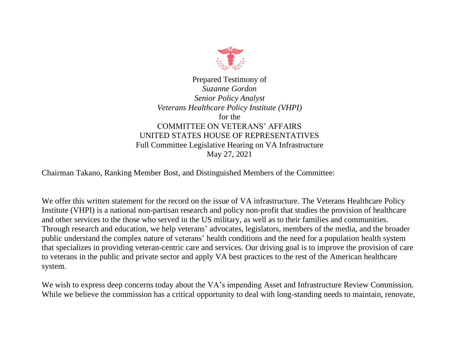

Prepared Testimony of *Suzanne Gordon Senior Policy Analyst Veterans Healthcare Policy Institute (VHPI)* for the COMMITTEE ON VETERANS' AFFAIRS UNITED STATES HOUSE OF REPRESENTATIVES Full Committee Legislative Hearing on VA Infrastructure May 27, 2021

Chairman Takano, Ranking Member Bost, and Distinguished Members of the Committee:

We offer this written statement for the record on the issue of VA infrastructure. The Veterans Healthcare Policy Institute (VHPI) is a national non-partisan research and policy non-profit that studies the provision of healthcare and other services to the those who served in the US military, as well as to their families and communities. Through research and education, we help veterans' advocates, legislators, members of the media, and the broader public understand the complex nature of veterans' health conditions and the need for a population health system that specializes in providing veteran-centric care and services. Our driving goal is to improve the provision of care to veterans in the public and private sector and apply VA best practices to the rest of the American healthcare system.

We wish to express deep concerns today about the VA's impending Asset and Infrastructure Review Commission. While we believe the commission has a critical opportunity to deal with long-standing needs to maintain, renovate,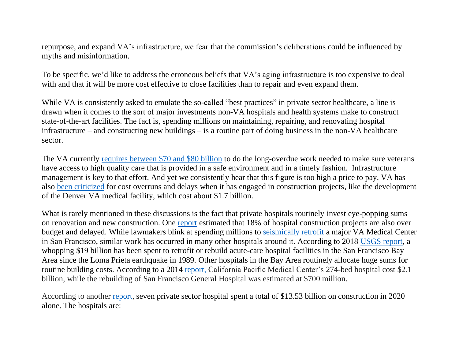repurpose, and expand VA's infrastructure, we fear that the commission's deliberations could be influenced by myths and misinformation.

To be specific, we'd like to address the erroneous beliefs that VA's aging infrastructure is too expensive to deal with and that it will be more cost effective to close facilities than to repair and even expand them.

While VA is consistently asked to emulate the so-called "best practices" in private sector healthcare, a line is drawn when it comes to the sort of major investments non-VA hospitals and health systems make to construct state-of-the-art facilities. The fact is, spending millions on maintaining, repairing, and renovating hospital infrastructure – and constructing new buildings – is a routine part of doing business in the non-VA healthcare sector.

The VA currently [requires between \\$70 and \\$80 billion](http://www.independentbudget.org/pdf/FY22%20IB_Budget%20Book_2.14.20.pdf) to do the long-overdue work needed to make sure veterans have access to high quality care that is provided in a safe environment and in a timely fashion. Infrastructure management is key to that effort. And yet we consistently hear that this figure is too high a price to pay. VA has also [been criticized](https://www.azcentral.com/story/news/nation/politics/2015/05/15/congress-vents-over-budget-denver-va-hospital-colorado/27414705/) for cost overruns and delays when it has engaged in construction projects, like the development of the Denver VA medical facility, which cost about \$1.7 billion.

What is rarely mentioned in these discussions is the fact that private hospitals routinely invest eye-popping sums on renovation and new construction. One [report](https://www.hfmmagazine.com/articles/3859-hospital-construction-survey) estimated that 18% of hospital construction projects are also over budget and delayed. While lawmakers blink at spending millions to [seismically retrofit](https://www.sanfrancisco.va.gov/docs/Updated_LRDP_2014.pdf) a major VA Medical Center in San Francisco, similar work has occurred in many other hospitals around it. According to 2018 [USGS report,](https://pubs.usgs.gov/of/2018/1168/ofr20181168.pdf) a whopping \$19 billion has been spent to retrofit or rebuild acute-care hospital facilities in the San Francisco Bay Area since the Loma Prieta earthquake in 1989. Other hospitals in the Bay Area routinely allocate huge sums for routine building costs. According to a 2014 [report,](https://www.bizjournals.com/sanfrancisco/blog/2014/06/top-10-san-francisco-construction-projects.html) California Pacific Medical Center's 274-bed hospital cost \$2.1 billion, while the rebuilding of San Francisco General Hospital was estimated at \$700 million.

According to another [report,](https://www.beckershospitalreview.com/capital/a-look-at-the-largest-hospital-construction-projects-in-2020.html) seven private sector hospital spent a total of \$13.53 billion on construction in 2020 alone. The hospitals are: